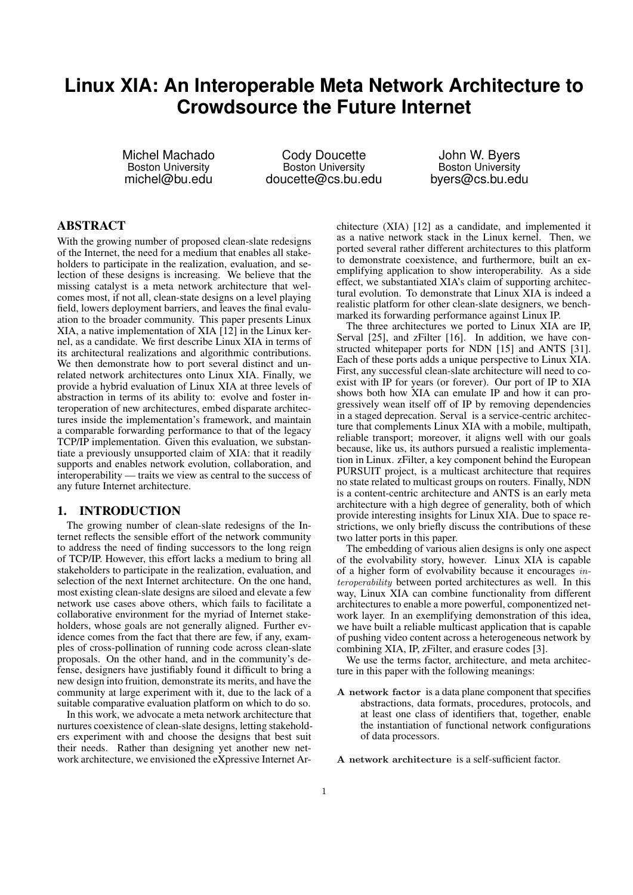# **Linux XIA: An Interoperable Meta Network Architecture to Crowdsource the Future Internet**

Michel Machado Boston University michel@bu.edu

Cody Doucette Boston University doucette@cs.bu.edu

John W. Byers Boston University byers@cs.bu.edu

# ABSTRACT

With the growing number of proposed clean-slate redesigns of the Internet, the need for a medium that enables all stakeholders to participate in the realization, evaluation, and selection of these designs is increasing. We believe that the missing catalyst is a meta network architecture that welcomes most, if not all, clean-state designs on a level playing field, lowers deployment barriers, and leaves the final evaluation to the broader community. This paper presents Linux XIA, a native implementation of XIA  $[12]$  in the Linux kernel, as a candidate. We first describe Linux XIA in terms of its architectural realizations and algorithmic contributions. We then demonstrate how to port several distinct and unrelated network architectures onto Linux XIA. Finally, we provide a hybrid evaluation of Linux XIA at three levels of abstraction in terms of its ability to: evolve and foster interoperation of new architectures, embed disparate architectures inside the implementation's framework, and maintain a comparable forwarding performance to that of the legacy TCP/IP implementation. Given this evaluation, we substantiate a previously unsupported claim of XIA: that it readily supports and enables network evolution, collaboration, and interoperability — traits we view as central to the success of any future Internet architecture.

# 1. INTRODUCTION

The growing number of clean-slate redesigns of the Internet reflects the sensible effort of the network community to address the need of finding successors to the long reign of TCP/IP. However, this effort lacks a medium to bring all stakeholders to participate in the realization, evaluation, and selection of the next Internet architecture. On the one hand, most existing clean-slate designs are siloed and elevate a few network use cases above others, which fails to facilitate a collaborative environment for the myriad of Internet stakeholders, whose goals are not generally aligned. Further evidence comes from the fact that there are few, if any, examples of cross-pollination of running code across clean-slate proposals. On the other hand, and in the community's defense, designers have justifiably found it difficult to bring a new design into fruition, demonstrate its merits, and have the community at large experiment with it, due to the lack of a suitable comparative evaluation platform on which to do so.

In this work, we advocate a meta network architecture that nurtures coexistence of clean-slate designs, letting stakeholders experiment with and choose the designs that best suit their needs. Rather than designing yet another new network architecture, we envisioned the eXpressive Internet Architecture (XIA) [\[12\]](#page-11-0) as a candidate, and implemented it as a native network stack in the Linux kernel. Then, we ported several rather different architectures to this platform to demonstrate coexistence, and furthermore, built an exemplifying application to show interoperability. As a side effect, we substantiated XIA's claim of supporting architectural evolution. To demonstrate that Linux XIA is indeed a realistic platform for other clean-slate designers, we benchmarked its forwarding performance against Linux IP.

The three architectures we ported to Linux XIA are IP, Serval [\[25\]](#page-11-1), and zFilter [\[16\]](#page-11-2). In addition, we have constructed whitepaper ports for NDN [\[15\]](#page-11-3) and ANTS [\[31\]](#page-11-4). Each of these ports adds a unique perspective to Linux XIA. First, any successful clean-slate architecture will need to coexist with IP for years (or forever). Our port of IP to XIA shows both how XIA can emulate IP and how it can progressively wean itself off of IP by removing dependencies in a staged deprecation. Serval is a service-centric architecture that complements Linux XIA with a mobile, multipath, reliable transport; moreover, it aligns well with our goals because, like us, its authors pursued a realistic implementation in Linux. zFilter, a key component behind the European PURSUIT project, is a multicast architecture that requires no state related to multicast groups on routers. Finally, NDN is a content-centric architecture and ANTS is an early meta architecture with a high degree of generality, both of which provide interesting insights for Linux XIA. Due to space restrictions, we only briefly discuss the contributions of these two latter ports in this paper.

The embedding of various alien designs is only one aspect of the evolvability story, however. Linux XIA is capable of a higher form of evolvability because it encourages interoperability between ported architectures as well. In this way, Linux XIA can combine functionality from different architectures to enable a more powerful, componentized network layer. In an exemplifying demonstration of this idea, we have built a reliable multicast application that is capable of pushing video content across a heterogeneous network by combining XIA, IP, zFilter, and erasure codes [\[3\]](#page-11-5).

We use the terms factor, architecture, and meta architecture in this paper with the following meanings:

A network factor is a data plane component that specifies abstractions, data formats, procedures, protocols, and at least one class of identifiers that, together, enable the instantiation of functional network configurations of data processors.

A network architecture is a self-sufficient factor.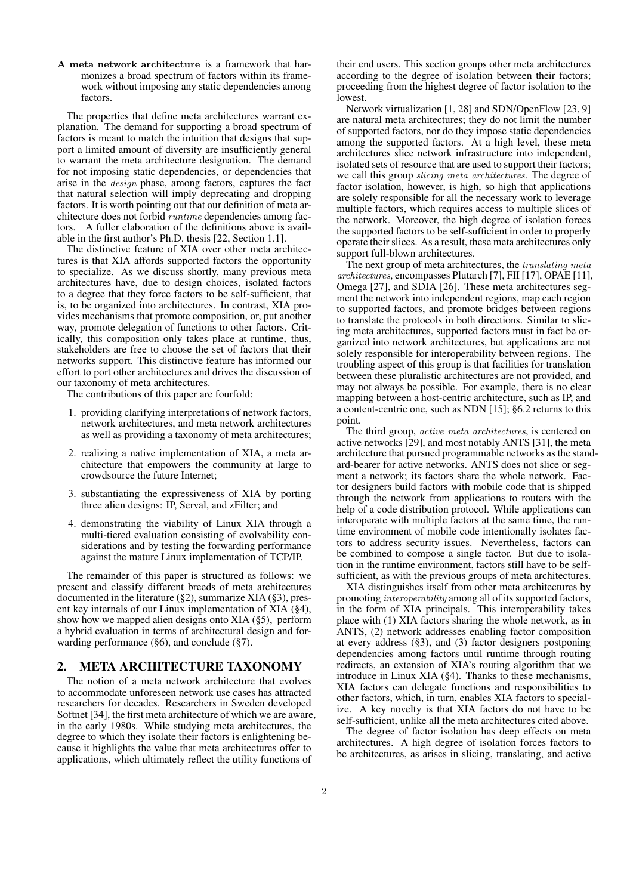A meta network architecture is a framework that harmonizes a broad spectrum of factors within its framework without imposing any static dependencies among factors.

The properties that define meta architectures warrant explanation. The demand for supporting a broad spectrum of factors is meant to match the intuition that designs that support a limited amount of diversity are insufficiently general to warrant the meta architecture designation. The demand for not imposing static dependencies, or dependencies that arise in the design phase, among factors, captures the fact that natural selection will imply deprecating and dropping factors. It is worth pointing out that our definition of meta architecture does not forbid runtime dependencies among factors. A fuller elaboration of the definitions above is available in the first author's Ph.D. thesis [\[22,](#page-11-6) Section 1.1].

The distinctive feature of XIA over other meta architectures is that XIA affords supported factors the opportunity to specialize. As we discuss shortly, many previous meta architectures have, due to design choices, isolated factors to a degree that they force factors to be self-sufficient, that is, to be organized into architectures. In contrast, XIA provides mechanisms that promote composition, or, put another way, promote delegation of functions to other factors. Critically, this composition only takes place at runtime, thus, stakeholders are free to choose the set of factors that their networks support. This distinctive feature has informed our effort to port other architectures and drives the discussion of our taxonomy of meta architectures.

The contributions of this paper are fourfold:

- 1. providing clarifying interpretations of network factors, network architectures, and meta network architectures as well as providing a taxonomy of meta architectures;
- 2. realizing a native implementation of XIA, a meta architecture that empowers the community at large to crowdsource the future Internet;
- 3. substantiating the expressiveness of XIA by porting three alien designs: IP, Serval, and zFilter; and
- 4. demonstrating the viability of Linux XIA through a multi-tiered evaluation consisting of evolvability considerations and by testing the forwarding performance against the mature Linux implementation of TCP/IP.

The remainder of this paper is structured as follows: we present and classify different breeds of meta architectures documented in the literature ([§2\)](#page-1-0), summarize XIA ([§3\)](#page-2-0), present key internals of our Linux implementation of XIA ([§4\)](#page-3-0), show how we mapped alien designs onto XIA ([§5\)](#page-5-0), perform a hybrid evaluation in terms of architectural design and forwarding performance ([§6\)](#page-8-0), and conclude ([§7\)](#page-10-0).

# <span id="page-1-0"></span>2. META ARCHITECTURE TAXONOMY

The notion of a meta network architecture that evolves to accommodate unforeseen network use cases has attracted researchers for decades. Researchers in Sweden developed Softnet [\[34\]](#page-11-7), the first meta architecture of which we are aware, in the early 1980s. While studying meta architectures, the degree to which they isolate their factors is enlightening because it highlights the value that meta architectures offer to applications, which ultimately reflect the utility functions of

their end users. This section groups other meta architectures according to the degree of isolation between their factors; proceeding from the highest degree of factor isolation to the lowest.

Network virtualization [\[1,](#page-11-8) [28\]](#page-11-9) and SDN/OpenFlow [\[23,](#page-11-10) [9\]](#page-11-11) are natural meta architectures; they do not limit the number of supported factors, nor do they impose static dependencies among the supported factors. At a high level, these meta architectures slice network infrastructure into independent, isolated sets of resource that are used to support their factors; we call this group slicing meta architectures. The degree of factor isolation, however, is high, so high that applications are solely responsible for all the necessary work to leverage multiple factors, which requires access to multiple slices of the network. Moreover, the high degree of isolation forces the supported factors to be self-sufficient in order to properly operate their slices. As a result, these meta architectures only support full-blown architectures.

The next group of meta architectures, the translating meta architectures, encompasses Plutarch [\[7\]](#page-11-12), FII [\[17\]](#page-11-13), OPAE [\[11\]](#page-11-14), Omega [\[27\]](#page-11-15), and SDIA [\[26\]](#page-11-16). These meta architectures segment the network into independent regions, map each region to supported factors, and promote bridges between regions to translate the protocols in both directions. Similar to slicing meta architectures, supported factors must in fact be organized into network architectures, but applications are not solely responsible for interoperability between regions. The troubling aspect of this group is that facilities for translation between these pluralistic architectures are not provided, and may not always be possible. For example, there is no clear mapping between a host-centric architecture, such as IP, and a content-centric one, such as NDN [\[15\]](#page-11-3); [§6.2](#page-8-1) returns to this point.

The third group, active meta architectures, is centered on active networks [\[29\]](#page-11-17), and most notably ANTS [\[31\]](#page-11-4), the meta architecture that pursued programmable networks as the standard-bearer for active networks. ANTS does not slice or segment a network; its factors share the whole network. Factor designers build factors with mobile code that is shipped through the network from applications to routers with the help of a code distribution protocol. While applications can interoperate with multiple factors at the same time, the runtime environment of mobile code intentionally isolates factors to address security issues. Nevertheless, factors can be combined to compose a single factor. But due to isolation in the runtime environment, factors still have to be selfsufficient, as with the previous groups of meta architectures.

XIA distinguishes itself from other meta architectures by promoting interoperability among all of its supported factors, in the form of XIA principals. This interoperability takes place with (1) XIA factors sharing the whole network, as in ANTS, (2) network addresses enabling factor composition at every address ([§3\)](#page-2-0), and (3) factor designers postponing dependencies among factors until runtime through routing redirects, an extension of XIA's routing algorithm that we introduce in Linux XIA ([§4\)](#page-3-0). Thanks to these mechanisms, XIA factors can delegate functions and responsibilities to other factors, which, in turn, enables XIA factors to specialize. A key novelty is that XIA factors do not have to be self-sufficient, unlike all the meta architectures cited above.

The degree of factor isolation has deep effects on meta architectures. A high degree of isolation forces factors to be architectures, as arises in slicing, translating, and active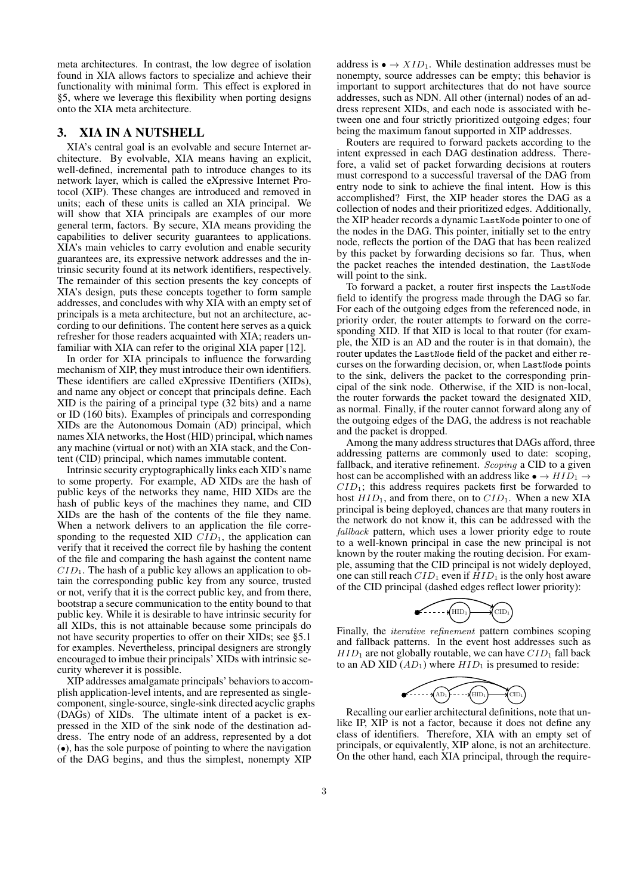meta architectures. In contrast, the low degree of isolation found in XIA allows factors to specialize and achieve their functionality with minimal form. This effect is explored in [§5,](#page-5-0) where we leverage this flexibility when porting designs onto the XIA meta architecture.

# <span id="page-2-0"></span>3. XIA IN A NUTSHELL

XIA's central goal is an evolvable and secure Internet architecture. By evolvable, XIA means having an explicit, well-defined, incremental path to introduce changes to its network layer, which is called the eXpressive Internet Protocol (XIP). These changes are introduced and removed in units; each of these units is called an XIA principal. We will show that XIA principals are examples of our more general term, factors. By secure, XIA means providing the capabilities to deliver security guarantees to applications. XIA's main vehicles to carry evolution and enable security guarantees are, its expressive network addresses and the intrinsic security found at its network identifiers, respectively. The remainder of this section presents the key concepts of XIA's design, puts these concepts together to form sample addresses, and concludes with why XIA with an empty set of principals is a meta architecture, but not an architecture, according to our definitions. The content here serves as a quick refresher for those readers acquainted with XIA; readers unfamiliar with XIA can refer to the original XIA paper [\[12\]](#page-11-0).

In order for XIA principals to influence the forwarding mechanism of XIP, they must introduce their own identifiers. These identifiers are called eXpressive IDentifiers (XIDs), and name any object or concept that principals define. Each XID is the pairing of a principal type (32 bits) and a name or ID (160 bits). Examples of principals and corresponding XIDs are the Autonomous Domain (AD) principal, which names XIA networks, the Host (HID) principal, which names any machine (virtual or not) with an XIA stack, and the Content (CID) principal, which names immutable content.

Intrinsic security cryptographically links each XID's name to some property. For example, AD XIDs are the hash of public keys of the networks they name, HID XIDs are the hash of public keys of the machines they name, and CID XIDs are the hash of the contents of the file they name. When a network delivers to an application the file corresponding to the requested XID  $\overline{CID}_1$ , the application can verify that it received the correct file by hashing the content of the file and comparing the hash against the content name  $CID<sub>1</sub>$ . The hash of a public key allows an application to obtain the corresponding public key from any source, trusted or not, verify that it is the correct public key, and from there, bootstrap a secure communication to the entity bound to that public key. While it is desirable to have intrinsic security for all XIDs, this is not attainable because some principals do not have security properties to offer on their XIDs; see [§5.1](#page-5-1) for examples. Nevertheless, principal designers are strongly encouraged to imbue their principals' XIDs with intrinsic security wherever it is possible.

XIP addresses amalgamate principals' behaviors to accomplish application-level intents, and are represented as singlecomponent, single-source, single-sink directed acyclic graphs (DAGs) of XIDs. The ultimate intent of a packet is expressed in the XID of the sink node of the destination address. The entry node of an address, represented by a dot (•), has the sole purpose of pointing to where the navigation of the DAG begins, and thus the simplest, nonempty XIP

address is  $\bullet \rightarrow XID_1$ . While destination addresses must be nonempty, source addresses can be empty; this behavior is important to support architectures that do not have source addresses, such as NDN. All other (internal) nodes of an address represent XIDs, and each node is associated with between one and four strictly prioritized outgoing edges; four being the maximum fanout supported in XIP addresses.

Routers are required to forward packets according to the intent expressed in each DAG destination address. Therefore, a valid set of packet forwarding decisions at routers must correspond to a successful traversal of the DAG from entry node to sink to achieve the final intent. How is this accomplished? First, the XIP header stores the DAG as a collection of nodes and their prioritized edges. Additionally, the XIP header records a dynamic LastNode pointer to one of the nodes in the DAG. This pointer, initially set to the entry node, reflects the portion of the DAG that has been realized by this packet by forwarding decisions so far. Thus, when the packet reaches the intended destination, the LastNode will point to the sink.

To forward a packet, a router first inspects the LastNode field to identify the progress made through the DAG so far. For each of the outgoing edges from the referenced node, in priority order, the router attempts to forward on the corresponding XID. If that XID is local to that router (for example, the XID is an AD and the router is in that domain), the router updates the LastNode field of the packet and either recurses on the forwarding decision, or, when LastNode points to the sink, delivers the packet to the corresponding principal of the sink node. Otherwise, if the XID is non-local, the router forwards the packet toward the designated XID, as normal. Finally, if the router cannot forward along any of the outgoing edges of the DAG, the address is not reachable and the packet is dropped.

Among the many address structures that DAGs afford, three addressing patterns are commonly used to date: scoping, fallback, and iterative refinement. *Scoping* a CID to a given host can be accomplished with an address like  $\bullet \rightarrow HID_1 \rightarrow$  $CID<sub>1</sub>$ ; this address requires packets first be forwarded to host  $HID_1$ , and from there, on to  $CID_1$ . When a new XIA principal is being deployed, chances are that many routers in the network do not know it, this can be addressed with the fallback pattern, which uses a lower priority edge to route to a well-known principal in case the new principal is not known by the router making the routing decision. For example, assuming that the CID principal is not widely deployed, one can still reach  $CID_1$  even if  $HID_1$  is the only host aware of the CID principal (dashed edges reflect lower priority):

$$
\underbrace{\hspace{1.5cm}}_{\text{HID}_1} \underbrace{\hspace{1.5cm}}_{\text{CHID}_1}
$$

Finally, the iterative refinement pattern combines scoping and fallback patterns. In the event host addresses such as  $HID_1$  are not globally routable, we can have  $CID_1$  fall back to an AD XID  $(AD_1)$  where  $HID_1$  is presumed to reside:

$$
\overbrace{\hspace{4.3cm}\text{and} \hspace{4.2cm} \text{and} \hspace{4.3cm} } \hspace{4.1cm} \overbrace{\hspace{4.1cm} \text{and} \hspace{4.1cm} } \hspace{4.1cm} \text{and} \hspace{4.1cm} \overbrace{\hspace{4.1cm} \text{and} \hspace{4.1cm} } \hspace{4.1cm} \text{and} \hspace{4.1cm} \overbrace{\hspace{4.1cm} \text{and} \hspace{4.1cm} } \hspace{4.1cm} \text{and} \hspace{4.1cm} \overbrace{\hspace{4.1cm} \text{and} \hspace{4.1cm} } \hspace{4.1cm} \text{and} \hspace{4.1cm} \overbrace{\hspace{4.1cm} \text{and} \hspace{4.1cm} } \hspace{4.1cm} \overbrace{\hspace{4.1cm} \text{and} \hspace{4.1cm} } \hspace{4.1cm} \text{and} \hspace{4.1cm} \overbrace{\hspace{4.1cm} \text{and} \hspace{4.1cm} } \hspace{4.1cm} \overbrace{\hspace{4.1cm} \text{and} \hspace{4.1cm} } \hspace{4.1cm} \text{and} \hspace{4.1cm} \overbrace{\hspace{4.1cm} \text{and} \hspace{4.1cm} } \hspace{4.1cm} \overbrace{\hspace{4.1cm} \text{and} \hspace{4.1cm} } \hspace{4.1cm} \overbrace{\hspace{4.1cm} \text{and} \hspace{4.1cm} } \hspace{4.1cm} \overbrace{\hspace{4.1cm} \text{and} \hspace{4.1cm} } \hspace{4.1cm} \overbrace{\hspace{4.1cm} \text{and} \hspace{4.1cm} } \hspace{4.1cm} \overbrace{\hspace{4.1cm} \text{and} \hspace{4.1cm} } \hspace{4.1cm} \overbrace{\hspace{4.1cm} \text{and} \hspace{4.1cm} } \hspace{4.1cm} \overbrace{\hspace{4.1cm} \text{and} \hspace{4.1cm} } \hspace{4.1cm} \overbrace{\hspace{4.1cm} \text{and} \hspace{4.1cm} } \hspace{4.1cm} \overbrace{\hspace{4.1cm} \text{
$$

Recalling our earlier architectural definitions, note that unlike IP, XIP is not a factor, because it does not define any class of identifiers. Therefore, XIA with an empty set of principals, or equivalently, XIP alone, is not an architecture. On the other hand, each XIA principal, through the require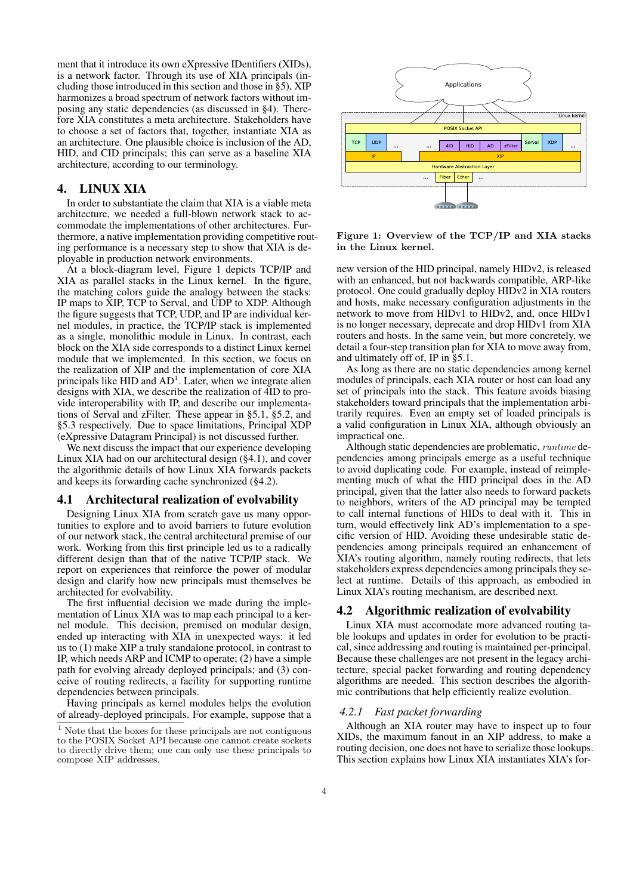ment that it introduce its own eXpressive IDentifiers (XIDs), is a network factor. Through its use of XIA principals (including those introduced in this section and those in [§5\)](#page-5-0), XIP harmonizes a broad spectrum of network factors without imposing any static dependencies (as discussed in [§4\)](#page-3-0). Therefore XIA constitutes a meta architecture. Stakeholders have to choose a set of factors that, together, instantiate XIA as an architecture. One plausible choice is inclusion of the AD, HID, and CID principals; this can serve as a baseline XIA architecture, according to our terminology.

# <span id="page-3-0"></span>4. LINUX XIA

In order to substantiate the claim that XIA is a viable meta architecture, we needed a full-blown network stack to accommodate the implementations of other architectures. Furthermore, a native implementation providing competitive routing performance is a necessary step to show that XIA is deployable in production network environments.

At a block-diagram level, Figure [1](#page-3-1) depicts TCP/IP and XIA as parallel stacks in the Linux kernel. In the figure, the matching colors guide the analogy between the stacks: IP maps to XIP, TCP to Serval, and UDP to XDP. Although the figure suggests that TCP, UDP, and IP are individual kernel modules, in practice, the TCP/IP stack is implemented as a single, monolithic module in Linux. In contrast, each block on the XIA side corresponds to a distinct Linux kernel module that we implemented. In this section, we focus on the realization of XIP and the implementation of core XIA principals like HID and  $AD<sup>1</sup>$  $AD<sup>1</sup>$  $AD<sup>1</sup>$ . Later, when we integrate alien designs with XIA, we describe the realization of 4ID to provide interoperability with IP, and describe our implementations of Serval and zFilter. These appear in [§5.1,](#page-5-1) [§5.2,](#page-6-0) and [§5.3](#page-7-0) respectively. Due to space limitations, Principal XDP (eXpressive Datagram Principal) is not discussed further.

We next discuss the impact that our experience developing Linux XIA had on our architectural design ([§4.1\)](#page-3-3), and cover the algorithmic details of how Linux XIA forwards packets and keeps its forwarding cache synchronized ([§4.2\)](#page-3-4).

#### <span id="page-3-3"></span>4.1 Architectural realization of evolvability

Designing Linux XIA from scratch gave us many opportunities to explore and to avoid barriers to future evolution of our network stack, the central architectural premise of our work. Working from this first principle led us to a radically different design than that of the native TCP/IP stack. We report on experiences that reinforce the power of modular design and clarify how new principals must themselves be architected for evolvability.

The first influential decision we made during the implementation of Linux XIA was to map each principal to a kernel module. This decision, premised on modular design, ended up interacting with XIA in unexpected ways: it led us to (1) make XIP a truly standalone protocol, in contrast to IP, which needs ARP and ICMP to operate; (2) have a simple path for evolving already deployed principals; and (3) conceive of routing redirects, a facility for supporting runtime dependencies between principals.

Having principals as kernel modules helps the evolution of already-deployed principals. For example, suppose that a



<span id="page-3-1"></span>Figure 1: Overview of the TCP/IP and XIA stacks in the Linux kernel.

new version of the HID principal, namely HIDv2, is released with an enhanced, but not backwards compatible, ARP-like protocol. One could gradually deploy HIDv2 in XIA routers and hosts, make necessary configuration adjustments in the network to move from HIDv1 to HIDv2, and, once HIDv1 is no longer necessary, deprecate and drop HIDv1 from XIA routers and hosts. In the same vein, but more concretely, we detail a four-step transition plan for XIA to move away from, and ultimately off of, IP in [§5.1.](#page-5-1)

As long as there are no static dependencies among kernel modules of principals, each XIA router or host can load any set of principals into the stack. This feature avoids biasing stakeholders toward principals that the implementation arbitrarily requires. Even an empty set of loaded principals is a valid configuration in Linux XIA, although obviously an impractical one.

Although static dependencies are problematic, runtime dependencies among principals emerge as a useful technique to avoid duplicating code. For example, instead of reimplementing much of what the HID principal does in the AD principal, given that the latter also needs to forward packets to neighbors, writers of the AD principal may be tempted to call internal functions of HIDs to deal with it. This in turn, would effectively link AD's implementation to a specific version of HID. Avoiding these undesirable static dependencies among principals required an enhancement of XIA's routing algorithm, namely routing redirects, that lets stakeholders express dependencies among principals they select at runtime. Details of this approach, as embodied in Linux XIA's routing mechanism, are described next.

#### <span id="page-3-4"></span>4.2 Algorithmic realization of evolvability

Linux XIA must accomodate more advanced routing table lookups and updates in order for evolution to be practical, since addressing and routing is maintained per-principal. Because these challenges are not present in the legacy architecture, special packet forwarding and routing dependency algorithms are needed. This section describes the algorithmic contributions that help efficiently realize evolution.

#### <span id="page-3-5"></span>*4.2.1 Fast packet forwarding*

Although an XIA router may have to inspect up to four XIDs, the maximum fanout in an XIP address, to make a routing decision, one does not have to serialize those lookups. This section explains how Linux XIA instantiates XIA's for-

<span id="page-3-2"></span> $1$  Note that the boxes for these principals are not contiguous to the POSIX Socket API because one cannot create sockets to directly drive them; one can only use these principals to compose XIP addresses.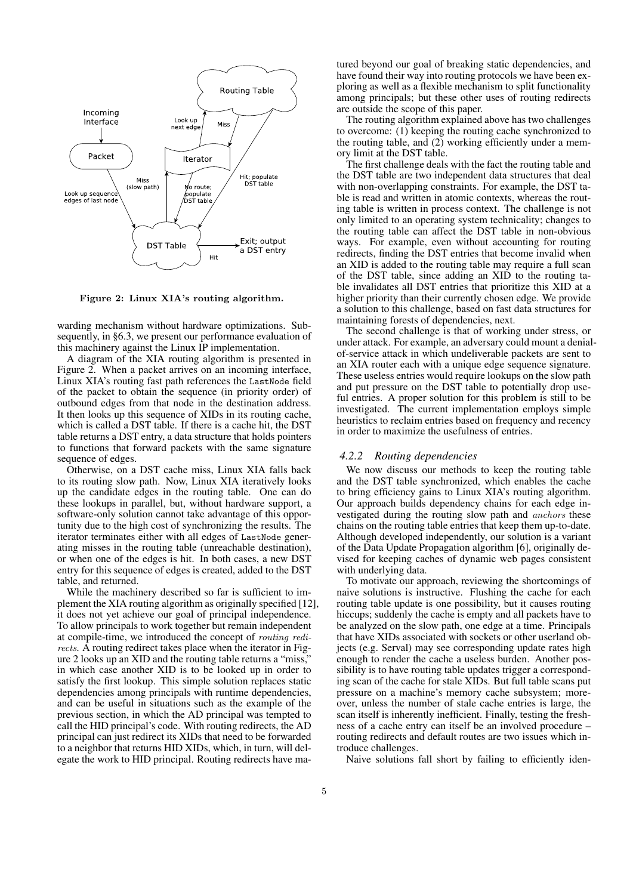

<span id="page-4-0"></span>Figure 2: Linux XIA's routing algorithm.

warding mechanism without hardware optimizations. Subsequently, in [§6.3,](#page-9-0) we present our performance evaluation of this machinery against the Linux IP implementation.

A diagram of the XIA routing algorithm is presented in Figure [2.](#page-4-0) When a packet arrives on an incoming interface, Linux XIA's routing fast path references the LastNode field of the packet to obtain the sequence (in priority order) of outbound edges from that node in the destination address. It then looks up this sequence of XIDs in its routing cache, which is called a DST table. If there is a cache hit, the DST table returns a DST entry, a data structure that holds pointers to functions that forward packets with the same signature sequence of edges.

Otherwise, on a DST cache miss, Linux XIA falls back to its routing slow path. Now, Linux XIA iteratively looks up the candidate edges in the routing table. One can do these lookups in parallel, but, without hardware support, a software-only solution cannot take advantage of this opportunity due to the high cost of synchronizing the results. The iterator terminates either with all edges of LastNode generating misses in the routing table (unreachable destination), or when one of the edges is hit. In both cases, a new DST entry for this sequence of edges is created, added to the DST table, and returned.

While the machinery described so far is sufficient to implement the XIA routing algorithm as originally specified [\[12\]](#page-11-0), it does not yet achieve our goal of principal independence. To allow principals to work together but remain independent at compile-time, we introduced the concept of routing redirects. A routing redirect takes place when the iterator in Figure [2](#page-4-0) looks up an XID and the routing table returns a "miss," in which case another XID is to be looked up in order to satisfy the first lookup. This simple solution replaces static dependencies among principals with runtime dependencies, and can be useful in situations such as the example of the previous section, in which the AD principal was tempted to call the HID principal's code. With routing redirects, the AD principal can just redirect its XIDs that need to be forwarded to a neighbor that returns HID XIDs, which, in turn, will delegate the work to HID principal. Routing redirects have ma-

tured beyond our goal of breaking static dependencies, and have found their way into routing protocols we have been exploring as well as a flexible mechanism to split functionality among principals; but these other uses of routing redirects are outside the scope of this paper.

The routing algorithm explained above has two challenges to overcome: (1) keeping the routing cache synchronized to the routing table, and (2) working efficiently under a memory limit at the DST table.

The first challenge deals with the fact the routing table and the DST table are two independent data structures that deal with non-overlapping constraints. For example, the DST table is read and written in atomic contexts, whereas the routing table is written in process context. The challenge is not only limited to an operating system technicality; changes to the routing table can affect the DST table in non-obvious ways. For example, even without accounting for routing redirects, finding the DST entries that become invalid when an XID is added to the routing table may require a full scan of the DST table, since adding an XID to the routing table invalidates all DST entries that prioritize this XID at a higher priority than their currently chosen edge. We provide a solution to this challenge, based on fast data structures for maintaining forests of dependencies, next.

The second challenge is that of working under stress, or under attack. For example, an adversary could mount a denialof-service attack in which undeliverable packets are sent to an XIA router each with a unique edge sequence signature. These useless entries would require lookups on the slow path and put pressure on the DST table to potentially drop useful entries. A proper solution for this problem is still to be investigated. The current implementation employs simple heuristics to reclaim entries based on frequency and recency in order to maximize the usefulness of entries.

#### <span id="page-4-1"></span>*4.2.2 Routing dependencies*

We now discuss our methods to keep the routing table and the DST table synchronized, which enables the cache to bring efficiency gains to Linux XIA's routing algorithm. Our approach builds dependency chains for each edge investigated during the routing slow path and anchors these chains on the routing table entries that keep them up-to-date. Although developed independently, our solution is a variant of the Data Update Propagation algorithm [\[6\]](#page-11-18), originally devised for keeping caches of dynamic web pages consistent with underlying data.

To motivate our approach, reviewing the shortcomings of naive solutions is instructive. Flushing the cache for each routing table update is one possibility, but it causes routing hiccups; suddenly the cache is empty and all packets have to be analyzed on the slow path, one edge at a time. Principals that have XIDs associated with sockets or other userland objects (e.g. Serval) may see corresponding update rates high enough to render the cache a useless burden. Another possibility is to have routing table updates trigger a corresponding scan of the cache for stale XIDs. But full table scans put pressure on a machine's memory cache subsystem; moreover, unless the number of stale cache entries is large, the scan itself is inherently inefficient. Finally, testing the freshness of a cache entry can itself be an involved procedure – routing redirects and default routes are two issues which introduce challenges.

Naive solutions fall short by failing to efficiently iden-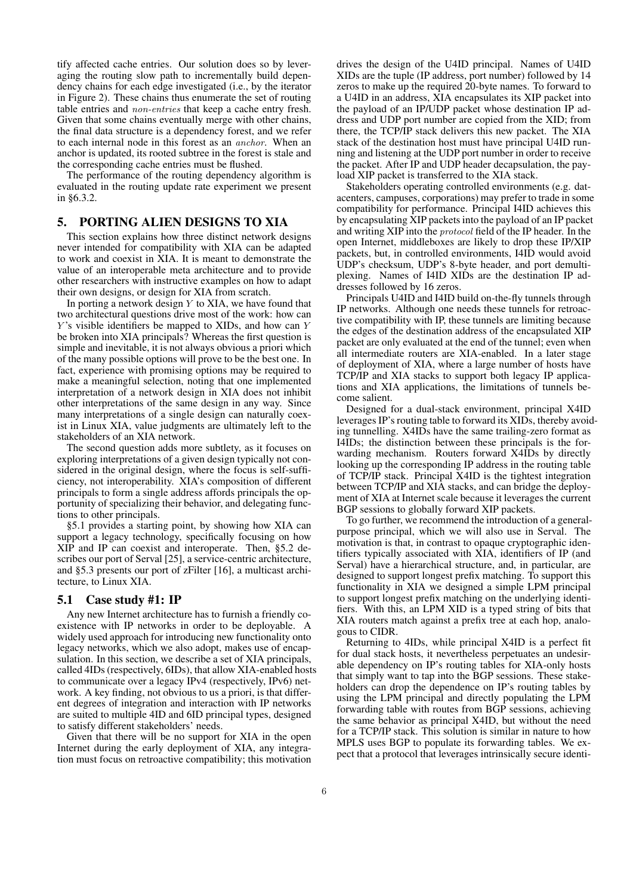tify affected cache entries. Our solution does so by leveraging the routing slow path to incrementally build dependency chains for each edge investigated (i.e., by the iterator in Figure [2\)](#page-4-0). These chains thus enumerate the set of routing table entries and non-entries that keep a cache entry fresh. Given that some chains eventually merge with other chains, the final data structure is a dependency forest, and we refer to each internal node in this forest as an anchor. When an anchor is updated, its rooted subtree in the forest is stale and the corresponding cache entries must be flushed.

The performance of the routing dependency algorithm is evaluated in the routing update rate experiment we present in [§6.3.2.](#page-10-1)

# <span id="page-5-0"></span>5. PORTING ALIEN DESIGNS TO XIA

This section explains how three distinct network designs never intended for compatibility with XIA can be adapted to work and coexist in XIA. It is meant to demonstrate the value of an interoperable meta architecture and to provide other researchers with instructive examples on how to adapt their own designs, or design for XIA from scratch.

In porting a network design  $Y$  to XIA, we have found that two architectural questions drive most of the work: how can  $Y$ 's visible identifiers be mapped to XIDs, and how can  $Y$ be broken into XIA principals? Whereas the first question is simple and inevitable, it is not always obvious a priori which of the many possible options will prove to be the best one. In fact, experience with promising options may be required to make a meaningful selection, noting that one implemented interpretation of a network design in XIA does not inhibit other interpretations of the same design in any way. Since many interpretations of a single design can naturally coexist in Linux XIA, value judgments are ultimately left to the stakeholders of an XIA network.

The second question adds more subtlety, as it focuses on exploring interpretations of a given design typically not considered in the original design, where the focus is self-sufficiency, not interoperability. XIA's composition of different principals to form a single address affords principals the opportunity of specializing their behavior, and delegating functions to other principals.

[§5.1](#page-5-1) provides a starting point, by showing how XIA can support a legacy technology, specifically focusing on how XIP and IP can coexist and interoperate. Then, [§5.2](#page-6-0) describes our port of Serval [\[25\]](#page-11-1), a service-centric architecture, and [§5.3](#page-7-0) presents our port of zFilter [\[16\]](#page-11-2), a multicast architecture, to Linux XIA.

# <span id="page-5-1"></span>5.1 Case study #1: IP

Any new Internet architecture has to furnish a friendly coexistence with IP networks in order to be deployable. A widely used approach for introducing new functionality onto legacy networks, which we also adopt, makes use of encapsulation. In this section, we describe a set of XIA principals, called 4IDs (respectively, 6IDs), that allow XIA-enabled hosts to communicate over a legacy IPv4 (respectively, IPv6) network. A key finding, not obvious to us a priori, is that different degrees of integration and interaction with IP networks are suited to multiple 4ID and 6ID principal types, designed to satisfy different stakeholders' needs.

Given that there will be no support for XIA in the open Internet during the early deployment of XIA, any integration must focus on retroactive compatibility; this motivation drives the design of the U4ID principal. Names of U4ID XIDs are the tuple (IP address, port number) followed by 14 zeros to make up the required 20-byte names. To forward to a U4ID in an address, XIA encapsulates its XIP packet into the payload of an IP/UDP packet whose destination IP address and UDP port number are copied from the XID; from there, the TCP/IP stack delivers this new packet. The XIA stack of the destination host must have principal U4ID running and listening at the UDP port number in order to receive the packet. After IP and UDP header decapsulation, the payload XIP packet is transferred to the XIA stack.

Stakeholders operating controlled environments (e.g. datacenters, campuses, corporations) may prefer to trade in some compatibility for performance. Principal I4ID achieves this by encapsulating XIP packets into the payload of an IP packet and writing XIP into the protocol field of the IP header. In the open Internet, middleboxes are likely to drop these IP/XIP packets, but, in controlled environments, I4ID would avoid UDP's checksum, UDP's 8-byte header, and port demultiplexing. Names of I4ID XIDs are the destination IP addresses followed by 16 zeros.

Principals U4ID and I4ID build on-the-fly tunnels through IP networks. Although one needs these tunnels for retroactive compatibility with IP, these tunnels are limiting because the edges of the destination address of the encapsulated XIP packet are only evaluated at the end of the tunnel; even when all intermediate routers are XIA-enabled. In a later stage of deployment of XIA, where a large number of hosts have TCP/IP and XIA stacks to support both legacy IP applications and XIA applications, the limitations of tunnels become salient.

Designed for a dual-stack environment, principal X4ID leverages IP's routing table to forward its XIDs, thereby avoiding tunnelling. X4IDs have the same trailing-zero format as I4IDs; the distinction between these principals is the forwarding mechanism. Routers forward X4IDs by directly looking up the corresponding IP address in the routing table of TCP/IP stack. Principal X4ID is the tightest integration between TCP/IP and XIA stacks, and can bridge the deployment of XIA at Internet scale because it leverages the current BGP sessions to globally forward XIP packets.

To go further, we recommend the introduction of a generalpurpose principal, which we will also use in Serval. The motivation is that, in contrast to opaque cryptographic identifiers typically associated with XIA, identifiers of IP (and Serval) have a hierarchical structure, and, in particular, are designed to support longest prefix matching. To support this functionality in XIA we designed a simple LPM principal to support longest prefix matching on the underlying identifiers. With this, an LPM XID is a typed string of bits that XIA routers match against a prefix tree at each hop, analogous to CIDR.

Returning to 4IDs, while principal X4ID is a perfect fit for dual stack hosts, it nevertheless perpetuates an undesirable dependency on IP's routing tables for XIA-only hosts that simply want to tap into the BGP sessions. These stakeholders can drop the dependence on IP's routing tables by using the LPM principal and directly populating the LPM forwarding table with routes from BGP sessions, achieving the same behavior as principal X4ID, but without the need for a TCP/IP stack. This solution is similar in nature to how MPLS uses BGP to populate its forwarding tables. We expect that a protocol that leverages intrinsically secure identi-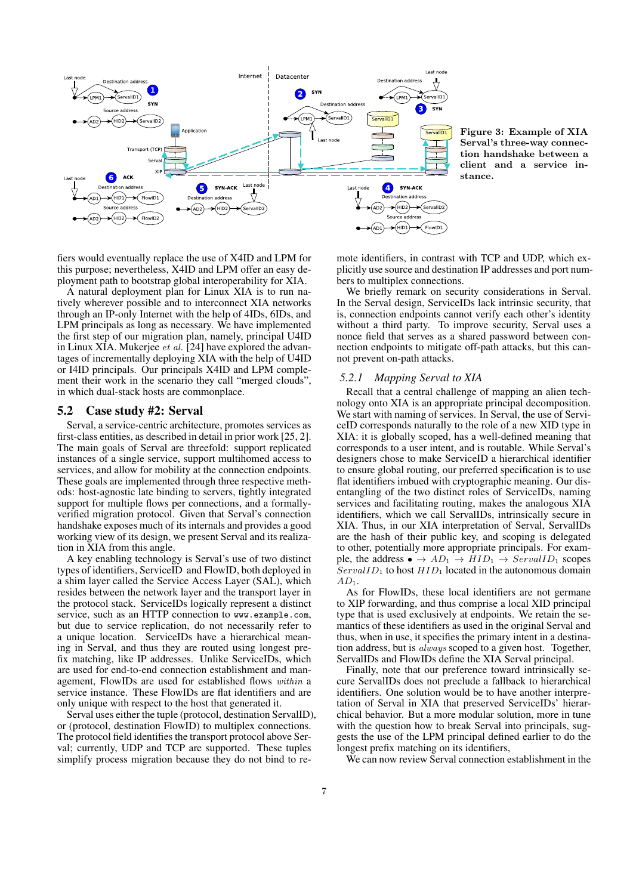

<span id="page-6-1"></span>Figure 3: Example of XIA Serval's three-way connection handshake between a client and a service instance.

fiers would eventually replace the use of X4ID and LPM for this purpose; nevertheless, X4ID and LPM offer an easy deployment path to bootstrap global interoperability for XIA.

A natural deployment plan for Linux XIA is to run natively wherever possible and to interconnect XIA networks through an IP-only Internet with the help of 4IDs, 6IDs, and LPM principals as long as necessary. We have implemented the first step of our migration plan, namely, principal U4ID in Linux XIA. Mukerjee et al. [\[24\]](#page-11-19) have explored the advantages of incrementally deploying XIA with the help of U4ID or I4ID principals. Our principals X4ID and LPM complement their work in the scenario they call "merged clouds", in which dual-stack hosts are commonplace.

# <span id="page-6-0"></span>5.2 Case study #2: Serval

Serval, a service-centric architecture, promotes services as first-class entities, as described in detail in prior work [\[25,](#page-11-1) [2\]](#page-11-20). The main goals of Serval are threefold: support replicated instances of a single service, support multihomed access to services, and allow for mobility at the connection endpoints. These goals are implemented through three respective methods: host-agnostic late binding to servers, tightly integrated support for multiple flows per connections, and a formallyverified migration protocol. Given that Serval's connection handshake exposes much of its internals and provides a good working view of its design, we present Serval and its realization in XIA from this angle.

A key enabling technology is Serval's use of two distinct types of identifiers, ServiceID and FlowID, both deployed in a shim layer called the Service Access Layer (SAL), which resides between the network layer and the transport layer in the protocol stack. ServiceIDs logically represent a distinct service, such as an HTTP connection to www.example.com, but due to service replication, do not necessarily refer to a unique location. ServiceIDs have a hierarchical meaning in Serval, and thus they are routed using longest prefix matching, like IP addresses. Unlike ServiceIDs, which are used for end-to-end connection establishment and management, FlowIDs are used for established flows within a service instance. These FlowIDs are flat identifiers and are only unique with respect to the host that generated it.

Serval uses either the tuple (protocol, destination ServalID), or (protocol, destination FlowID) to multiplex connections. The protocol field identifies the transport protocol above Serval; currently, UDP and TCP are supported. These tuples simplify process migration because they do not bind to remote identifiers, in contrast with TCP and UDP, which explicitly use source and destination IP addresses and port numbers to multiplex connections.

We briefly remark on security considerations in Serval. In the Serval design, ServiceIDs lack intrinsic security, that is, connection endpoints cannot verify each other's identity without a third party. To improve security, Serval uses a nonce field that serves as a shared password between connection endpoints to mitigate off-path attacks, but this cannot prevent on-path attacks.

### *5.2.1 Mapping Serval to XIA*

Recall that a central challenge of mapping an alien technology onto XIA is an appropriate principal decomposition. We start with naming of services. In Serval, the use of ServiceID corresponds naturally to the role of a new XID type in XIA: it is globally scoped, has a well-defined meaning that corresponds to a user intent, and is routable. While Serval's designers chose to make ServiceID a hierarchical identifier to ensure global routing, our preferred specification is to use flat identifiers imbued with cryptographic meaning. Our disentangling of the two distinct roles of ServiceIDs, naming services and facilitating routing, makes the analogous XIA identifiers, which we call ServalIDs, intrinsically secure in XIA. Thus, in our XIA interpretation of Serval, ServalIDs are the hash of their public key, and scoping is delegated to other, potentially more appropriate principals. For example, the address  $\bullet \rightarrow AD_1 \rightarrow HID_1 \rightarrow ServallD_1$  scopes  $ServalID_1$  to host  $HID_1$  located in the autonomous domain  $AD_1$ .

As for FlowIDs, these local identifiers are not germane to XIP forwarding, and thus comprise a local XID principal type that is used exclusively at endpoints. We retain the semantics of these identifiers as used in the original Serval and thus, when in use, it specifies the primary intent in a destination address, but is *always* scoped to a given host. Together, ServalIDs and FlowIDs define the XIA Serval principal.

Finally, note that our preference toward intrinsically secure ServalIDs does not preclude a fallback to hierarchical identifiers. One solution would be to have another interpretation of Serval in XIA that preserved ServiceIDs' hierarchical behavior. But a more modular solution, more in tune with the question how to break Serval into principals, suggests the use of the LPM principal defined earlier to do the longest prefix matching on its identifiers,

We can now review Serval connection establishment in the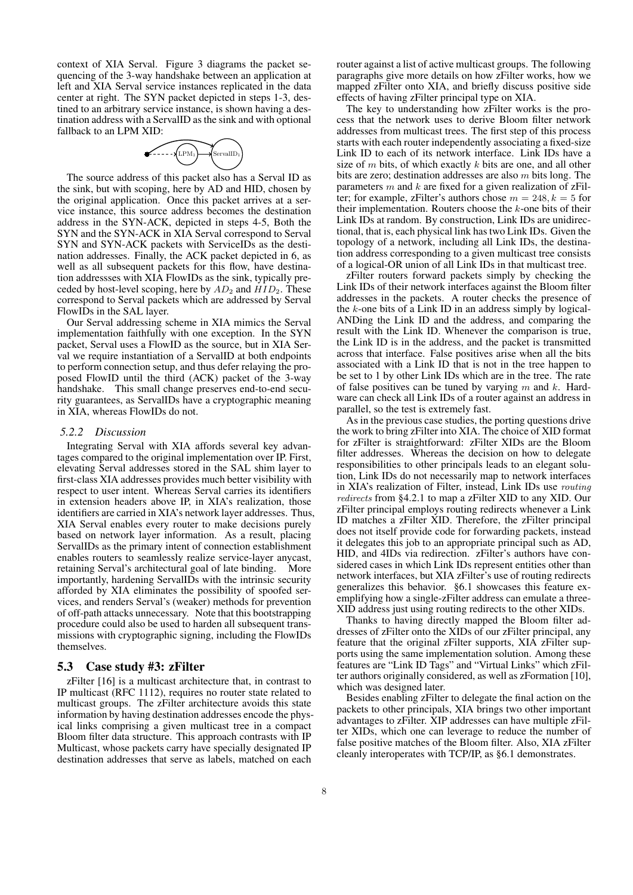context of XIA Serval. Figure [3](#page-6-1) diagrams the packet sequencing of the 3-way handshake between an application at left and XIA Serval service instances replicated in the data center at right. The SYN packet depicted in steps 1-3, destined to an arbitrary service instance, is shown having a destination address with a ServalID as the sink and with optional fallback to an LPM XID:

$$
\underbrace{\qquad \qquad \qquad }\qquad \qquad \text{LevalID}_1
$$

The source address of this packet also has a Serval ID as the sink, but with scoping, here by AD and HID, chosen by the original application. Once this packet arrives at a service instance, this source address becomes the destination address in the SYN-ACK, depicted in steps 4-5, Both the SYN and the SYN-ACK in XIA Serval correspond to Serval SYN and SYN-ACK packets with ServiceIDs as the destination addresses. Finally, the ACK packet depicted in 6, as well as all subsequent packets for this flow, have destination addressses with XIA FlowIDs as the sink, typically preceded by host-level scoping, here by  $AD_2$  and  $HID_2$ . These correspond to Serval packets which are addressed by Serval FlowIDs in the SAL layer.

Our Serval addressing scheme in XIA mimics the Serval implementation faithfully with one exception. In the SYN packet, Serval uses a FlowID as the source, but in XIA Serval we require instantiation of a ServalID at both endpoints to perform connection setup, and thus defer relaying the proposed FlowID until the third (ACK) packet of the 3-way handshake. This small change preserves end-to-end security guarantees, as ServalIDs have a cryptographic meaning in XIA, whereas FlowIDs do not.

#### *5.2.2 Discussion*

Integrating Serval with XIA affords several key advantages compared to the original implementation over IP. First, elevating Serval addresses stored in the SAL shim layer to first-class XIA addresses provides much better visibility with respect to user intent. Whereas Serval carries its identifiers in extension headers above IP, in XIA's realization, those identifiers are carried in XIA's network layer addresses. Thus, XIA Serval enables every router to make decisions purely based on network layer information. As a result, placing ServalIDs as the primary intent of connection establishment enables routers to seamlessly realize service-layer anycast, retaining Serval's architectural goal of late binding. More importantly, hardening ServalIDs with the intrinsic security afforded by XIA eliminates the possibility of spoofed services, and renders Serval's (weaker) methods for prevention of off-path attacks unnecessary. Note that this bootstrapping procedure could also be used to harden all subsequent transmissions with cryptographic signing, including the FlowIDs themselves.

# <span id="page-7-0"></span>5.3 Case study #3: zFilter

zFilter [\[16\]](#page-11-2) is a multicast architecture that, in contrast to IP multicast (RFC 1112), requires no router state related to multicast groups. The zFilter architecture avoids this state information by having destination addresses encode the physical links comprising a given multicast tree in a compact Bloom filter data structure. This approach contrasts with IP Multicast, whose packets carry have specially designated IP destination addresses that serve as labels, matched on each router against a list of active multicast groups. The following paragraphs give more details on how zFilter works, how we mapped zFilter onto XIA, and briefly discuss positive side effects of having zFilter principal type on XIA.

The key to understanding how zFilter works is the process that the network uses to derive Bloom filter network addresses from multicast trees. The first step of this process starts with each router independently associating a fixed-size Link ID to each of its network interface. Link IDs have a size of  $m$  bits, of which exactly  $k$  bits are one, and all other bits are zero; destination addresses are also m bits long. The parameters  $m$  and  $k$  are fixed for a given realization of zFilter; for example, zFilter's authors chose  $m = 248, k = 5$  for their implementation. Routers choose the  $k$ -one bits of their Link IDs at random. By construction, Link IDs are unidirectional, that is, each physical link has two Link IDs. Given the topology of a network, including all Link IDs, the destination address corresponding to a given multicast tree consists of a logical-OR union of all Link IDs in that multicast tree.

zFilter routers forward packets simply by checking the Link IDs of their network interfaces against the Bloom filter addresses in the packets. A router checks the presence of the  $k$ -one bits of a Link ID in an address simply by logical-ANDing the Link ID and the address, and comparing the result with the Link ID. Whenever the comparison is true, the Link ID is in the address, and the packet is transmitted across that interface. False positives arise when all the bits associated with a Link ID that is not in the tree happen to be set to 1 by other Link IDs which are in the tree. The rate of false positives can be tuned by varying  $m$  and  $k$ . Hardware can check all Link IDs of a router against an address in parallel, so the test is extremely fast.

As in the previous case studies, the porting questions drive the work to bring zFilter into XIA. The choice of XID format for zFilter is straightforward: zFilter XIDs are the Bloom filter addresses. Whereas the decision on how to delegate responsibilities to other principals leads to an elegant solution, Link IDs do not necessarily map to network interfaces in XIA's realization of Filter, instead, Link IDs use routing redirects from [§4.2.1](#page-3-5) to map a zFilter XID to any XID. Our zFilter principal employs routing redirects whenever a Link ID matches a zFilter XID. Therefore, the zFilter principal does not itself provide code for forwarding packets, instead it delegates this job to an appropriate principal such as AD, HID, and 4IDs via redirection. zFilter's authors have considered cases in which Link IDs represent entities other than network interfaces, but XIA zFilter's use of routing redirects generalizes this behavior. [§6.1](#page-8-2) showcases this feature exemplifying how a single-zFilter address can emulate a three-XID address just using routing redirects to the other XIDs.

Thanks to having directly mapped the Bloom filter addresses of zFilter onto the XIDs of our zFilter principal, any feature that the original zFilter supports, XIA zFilter supports using the same implementation solution. Among these features are "Link ID Tags" and "Virtual Links" which zFilter authors originally considered, as well as zFormation [\[10\]](#page-11-21), which was designed later.

Besides enabling zFilter to delegate the final action on the packets to other principals, XIA brings two other important advantages to zFilter. XIP addresses can have multiple zFilter XIDs, which one can leverage to reduce the number of false positive matches of the Bloom filter. Also, XIA zFilter cleanly interoperates with TCP/IP, as [§6.1](#page-8-2) demonstrates.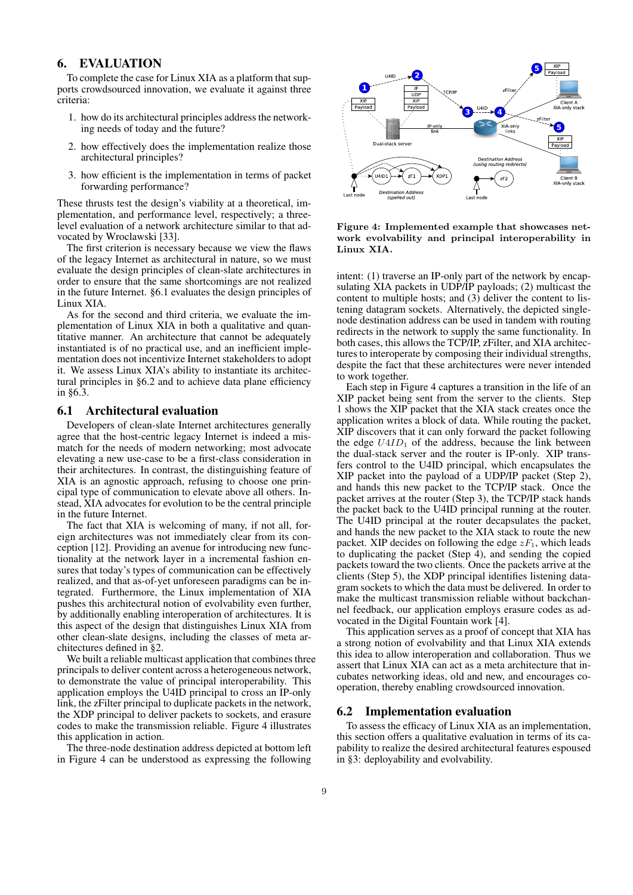# <span id="page-8-0"></span>6. EVALUATION

To complete the case for Linux XIA as a platform that supports crowdsourced innovation, we evaluate it against three criteria:

- 1. how do its architectural principles address the networking needs of today and the future?
- 2. how effectively does the implementation realize those architectural principles?
- 3. how efficient is the implementation in terms of packet forwarding performance?

These thrusts test the design's viability at a theoretical, implementation, and performance level, respectively; a threelevel evaluation of a network architecture similar to that advocated by Wroclawski [\[33\]](#page-11-22).

The first criterion is necessary because we view the flaws of the legacy Internet as architectural in nature, so we must evaluate the design principles of clean-slate architectures in order to ensure that the same shortcomings are not realized in the future Internet. [§6.1](#page-8-2) evaluates the design principles of Linux XIA.

As for the second and third criteria, we evaluate the implementation of Linux XIA in both a qualitative and quantitative manner. An architecture that cannot be adequately instantiated is of no practical use, and an inefficient implementation does not incentivize Internet stakeholders to adopt it. We assess Linux XIA's ability to instantiate its architectural principles in [§6.2](#page-8-1) and to achieve data plane efficiency in [§6.3.](#page-9-0)

## <span id="page-8-2"></span>6.1 Architectural evaluation

Developers of clean-slate Internet architectures generally agree that the host-centric legacy Internet is indeed a mismatch for the needs of modern networking; most advocate elevating a new use-case to be a first-class consideration in their architectures. In contrast, the distinguishing feature of XIA is an agnostic approach, refusing to choose one principal type of communication to elevate above all others. Instead, XIA advocates for evolution to be the central principle in the future Internet.

The fact that XIA is welcoming of many, if not all, foreign architectures was not immediately clear from its conception [\[12\]](#page-11-0). Providing an avenue for introducing new functionality at the network layer in a incremental fashion ensures that today's types of communication can be effectively realized, and that as-of-yet unforeseen paradigms can be integrated. Furthermore, the Linux implementation of XIA pushes this architectural notion of evolvability even further, by additionally enabling interoperation of architectures. It is this aspect of the design that distinguishes Linux XIA from other clean-slate designs, including the classes of meta architectures defined in [§2.](#page-1-0)

We built a reliable multicast application that combines three principals to deliver content across a heterogeneous network, to demonstrate the value of principal interoperability. This application employs the U4ID principal to cross an IP-only link, the zFilter principal to duplicate packets in the network, the XDP principal to deliver packets to sockets, and erasure codes to make the transmission reliable. Figure [4](#page-8-3) illustrates this application in action.

The three-node destination address depicted at bottom left in Figure [4](#page-8-3) can be understood as expressing the following



<span id="page-8-3"></span>Figure 4: Implemented example that showcases network evolvability and principal interoperability in Linux XIA.

intent: (1) traverse an IP-only part of the network by encapsulating XIA packets in UDP/IP payloads; (2) multicast the content to multiple hosts; and (3) deliver the content to listening datagram sockets. Alternatively, the depicted singlenode destination address can be used in tandem with routing redirects in the network to supply the same functionality. In both cases, this allows the TCP/IP, zFilter, and XIA architectures to interoperate by composing their individual strengths, despite the fact that these architectures were never intended to work together.

Each step in Figure [4](#page-8-3) captures a transition in the life of an XIP packet being sent from the server to the clients. Step 1 shows the XIP packet that the XIA stack creates once the application writes a block of data. While routing the packet, XIP discovers that it can only forward the packet following the edge  $U4ID_1$  of the address, because the link between the dual-stack server and the router is IP-only. XIP transfers control to the U4ID principal, which encapsulates the XIP packet into the payload of a UDP/IP packet (Step 2), and hands this new packet to the TCP/IP stack. Once the packet arrives at the router (Step 3), the TCP/IP stack hands the packet back to the U4ID principal running at the router. The U4ID principal at the router decapsulates the packet, and hands the new packet to the XIA stack to route the new packet. XIP decides on following the edge  $zF_1$ , which leads to duplicating the packet (Step 4), and sending the copied packets toward the two clients. Once the packets arrive at the clients (Step 5), the XDP principal identifies listening datagram sockets to which the data must be delivered. In order to make the multicast transmission reliable without backchannel feedback, our application employs erasure codes as advocated in the Digital Fountain work [\[4\]](#page-11-23).

This application serves as a proof of concept that XIA has a strong notion of evolvability and that Linux XIA extends this idea to allow interoperation and collaboration. Thus we assert that Linux XIA can act as a meta architecture that incubates networking ideas, old and new, and encourages cooperation, thereby enabling crowdsourced innovation.

#### <span id="page-8-1"></span>6.2 Implementation evaluation

To assess the efficacy of Linux XIA as an implementation, this section offers a qualitative evaluation in terms of its capability to realize the desired architectural features espoused in [§3:](#page-2-0) deployability and evolvability.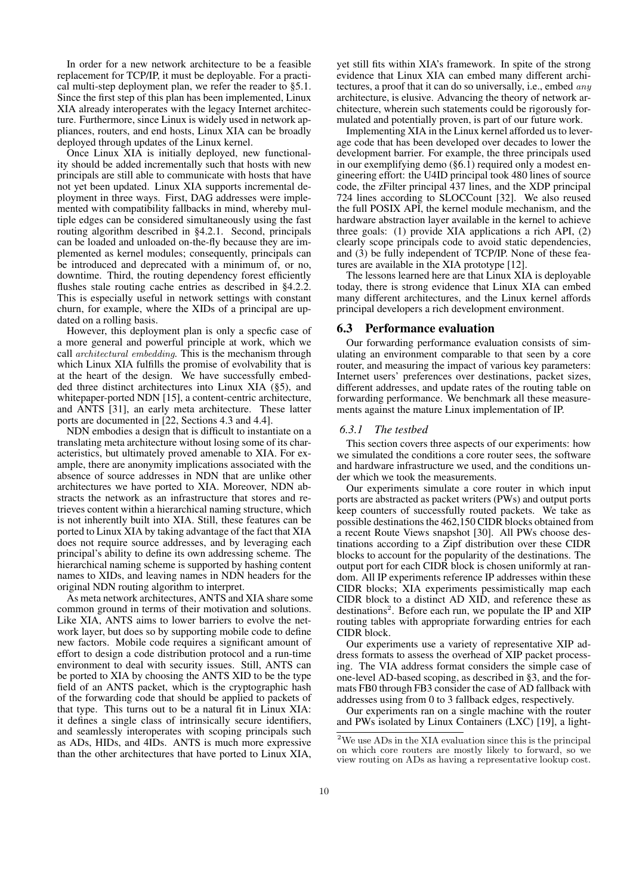In order for a new network architecture to be a feasible replacement for TCP/IP, it must be deployable. For a practical multi-step deployment plan, we refer the reader to [§5.1.](#page-5-1) Since the first step of this plan has been implemented, Linux XIA already interoperates with the legacy Internet architecture. Furthermore, since Linux is widely used in network appliances, routers, and end hosts, Linux XIA can be broadly deployed through updates of the Linux kernel.

Once Linux XIA is initially deployed, new functionality should be added incrementally such that hosts with new principals are still able to communicate with hosts that have not yet been updated. Linux XIA supports incremental deployment in three ways. First, DAG addresses were implemented with compatibility fallbacks in mind, whereby multiple edges can be considered simultaneously using the fast routing algorithm described in [§4.2.1.](#page-3-5) Second, principals can be loaded and unloaded on-the-fly because they are implemented as kernel modules; consequently, principals can be introduced and deprecated with a minimum of, or no, downtime. Third, the routing dependency forest efficiently flushes stale routing cache entries as described in [§4.2.2.](#page-4-1) This is especially useful in network settings with constant churn, for example, where the XIDs of a principal are updated on a rolling basis.

However, this deployment plan is only a specfic case of a more general and powerful principle at work, which we call architectural embedding. This is the mechanism through which Linux XIA fulfills the promise of evolvability that is at the heart of the design. We have successfully embedded three distinct architectures into Linux XIA ([§5\)](#page-5-0), and whitepaper-ported NDN [\[15\]](#page-11-3), a content-centric architecture, and ANTS [\[31\]](#page-11-4), an early meta architecture. These latter ports are documented in [\[22,](#page-11-6) Sections 4.3 and 4.4].

NDN embodies a design that is difficult to instantiate on a translating meta architecture without losing some of its characteristics, but ultimately proved amenable to XIA. For example, there are anonymity implications associated with the absence of source addresses in NDN that are unlike other architectures we have ported to XIA. Moreover, NDN abstracts the network as an infrastructure that stores and retrieves content within a hierarchical naming structure, which is not inherently built into XIA. Still, these features can be ported to Linux XIA by taking advantage of the fact that XIA does not require source addresses, and by leveraging each principal's ability to define its own addressing scheme. The hierarchical naming scheme is supported by hashing content names to XIDs, and leaving names in NDN headers for the original NDN routing algorithm to interpret.

As meta network architectures, ANTS and XIA share some common ground in terms of their motivation and solutions. Like XIA, ANTS aims to lower barriers to evolve the network layer, but does so by supporting mobile code to define new factors. Mobile code requires a significant amount of effort to design a code distribution protocol and a run-time environment to deal with security issues. Still, ANTS can be ported to XIA by choosing the ANTS XID to be the type field of an ANTS packet, which is the cryptographic hash of the forwarding code that should be applied to packets of that type. This turns out to be a natural fit in Linux XIA: it defines a single class of intrinsically secure identifiers, and seamlessly interoperates with scoping principals such as ADs, HIDs, and 4IDs. ANTS is much more expressive than the other architectures that have ported to Linux XIA,

yet still fits within XIA's framework. In spite of the strong evidence that Linux XIA can embed many different architectures, a proof that it can do so universally, i.e., embed any architecture, is elusive. Advancing the theory of network architecture, wherein such statements could be rigorously formulated and potentially proven, is part of our future work.

Implementing XIA in the Linux kernel afforded us to leverage code that has been developed over decades to lower the development barrier. For example, the three principals used in our exemplifying demo ([§6.1\)](#page-8-2) required only a modest engineering effort: the U4ID principal took 480 lines of source code, the zFilter principal 437 lines, and the XDP principal 724 lines according to SLOCCount [\[32\]](#page-11-24). We also reused the full POSIX API, the kernel module mechanism, and the hardware abstraction layer available in the kernel to achieve three goals: (1) provide XIA applications a rich API, (2) clearly scope principals code to avoid static dependencies, and (3) be fully independent of TCP/IP. None of these features are available in the XIA prototype [\[12\]](#page-11-0).

The lessons learned here are that Linux XIA is deployable today, there is strong evidence that Linux XIA can embed many different architectures, and the Linux kernel affords principal developers a rich development environment.

#### <span id="page-9-0"></span>6.3 Performance evaluation

Our forwarding performance evaluation consists of simulating an environment comparable to that seen by a core router, and measuring the impact of various key parameters: Internet users' preferences over destinations, packet sizes, different addresses, and update rates of the routing table on forwarding performance. We benchmark all these measurements against the mature Linux implementation of IP.

#### *6.3.1 The testbed*

This section covers three aspects of our experiments: how we simulated the conditions a core router sees, the software and hardware infrastructure we used, and the conditions under which we took the measurements.

Our experiments simulate a core router in which input ports are abstracted as packet writers (PWs) and output ports keep counters of successfully routed packets. We take as possible destinations the 462,150 CIDR blocks obtained from a recent Route Views snapshot [\[30\]](#page-11-25). All PWs choose destinations according to a Zipf distribution over these CIDR blocks to account for the popularity of the destinations. The output port for each CIDR block is chosen uniformly at random. All IP experiments reference IP addresses within these CIDR blocks; XIA experiments pessimistically map each CIDR block to a distinct AD XID, and reference these as destinations<sup>[2](#page-9-1)</sup>. Before each run, we populate the IP and XIP routing tables with appropriate forwarding entries for each CIDR block.

Our experiments use a variety of representative XIP address formats to assess the overhead of XIP packet processing. The VIA address format considers the simple case of one-level AD-based scoping, as described in [§3,](#page-2-0) and the formats FB0 through FB3 consider the case of AD fallback with addresses using from 0 to 3 fallback edges, respectively.

Our experiments ran on a single machine with the router and PWs isolated by Linux Containers (LXC) [\[19\]](#page-11-26), a light-

<span id="page-9-1"></span><sup>2</sup>We use ADs in the XIA evaluation since this is the principal on which core routers are mostly likely to forward, so we view routing on ADs as having a representative lookup cost.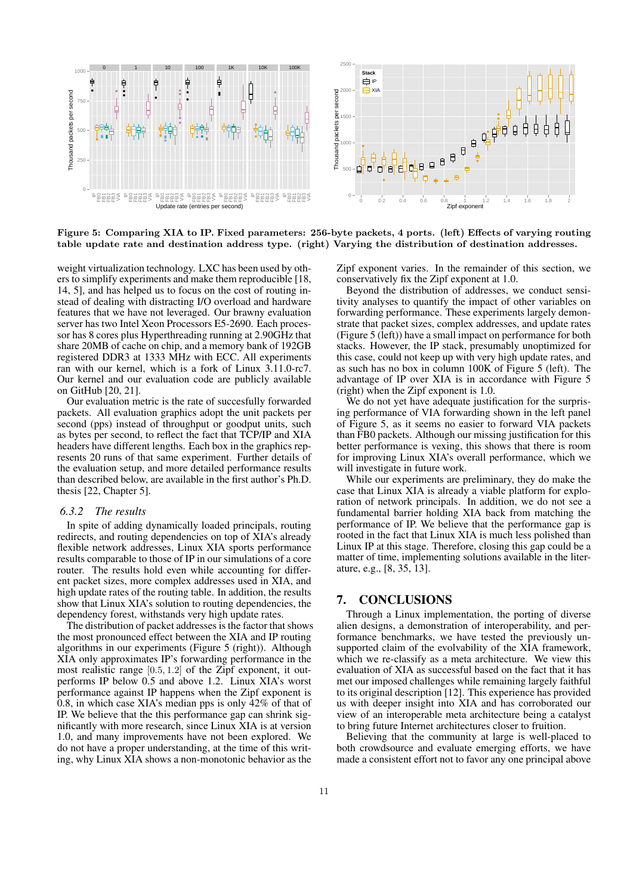

<span id="page-10-2"></span>Figure 5: Comparing XIA to IP. Fixed parameters: 256-byte packets, 4 ports. (left) Effects of varying routing table update rate and destination address type. (right) Varying the distribution of destination addresses.

weight virtualization technology. LXC has been used by others to simplify experiments and make them reproducible [\[18,](#page-11-27) [14,](#page-11-28) [5\]](#page-11-29), and has helped us to focus on the cost of routing instead of dealing with distracting I/O overload and hardware features that we have not leveraged. Our brawny evaluation server has two Intel Xeon Processors E5-2690. Each processor has 8 cores plus Hyperthreading running at 2.90GHz that share 20MB of cache on chip, and a memory bank of 192GB registered DDR3 at 1333 MHz with ECC. All experiments ran with our kernel, which is a fork of Linux 3.11.0-rc7. Our kernel and our evaluation code are publicly available on GitHub [\[20,](#page-11-30) [21\]](#page-11-31).

Our evaluation metric is the rate of succesfully forwarded packets. All evaluation graphics adopt the unit packets per second (pps) instead of throughput or goodput units, such as bytes per second, to reflect the fact that TCP/IP and XIA headers have different lengths. Each box in the graphics represents 20 runs of that same experiment. Further details of the evaluation setup, and more detailed performance results than described below, are available in the first author's Ph.D. thesis [\[22,](#page-11-6) Chapter 5].

#### <span id="page-10-1"></span>*6.3.2 The results*

In spite of adding dynamically loaded principals, routing redirects, and routing dependencies on top of XIA's already flexible network addresses, Linux XIA sports performance results comparable to those of IP in our simulations of a core router. The results hold even while accounting for different packet sizes, more complex addresses used in XIA, and high update rates of the routing table. In addition, the results show that Linux XIA's solution to routing dependencies, the dependency forest, withstands very high update rates.

The distribution of packet addresses is the factor that shows the most pronounced effect between the XIA and IP routing algorithms in our experiments (Figure [5](#page-10-2) (right)). Although XIA only approximates IP's forwarding performance in the most realistic range [0.5, 1.2] of the Zipf exponent, it outperforms IP below 0.5 and above 1.2. Linux XIA's worst performance against IP happens when the Zipf exponent is 0.8, in which case XIA's median pps is only 42% of that of IP. We believe that the this performance gap can shrink significantly with more research, since Linux XIA is at version 1.0, and many improvements have not been explored. We do not have a proper understanding, at the time of this writing, why Linux XIA shows a non-monotonic behavior as the

Zipf exponent varies. In the remainder of this section, we conservatively fix the Zipf exponent at 1.0.

Beyond the distribution of addresses, we conduct sensitivity analyses to quantify the impact of other variables on forwarding performance. These experiments largely demonstrate that packet sizes, complex addresses, and update rates (Figure [5](#page-10-2) (left)) have a small impact on performance for both stacks. However, the IP stack, presumably unoptimized for this case, could not keep up with very high update rates, and as such has no box in column 100K of Figure [5](#page-10-2) (left). The advantage of IP over XIA is in accordance with Figure [5](#page-10-2) (right) when the Zipf exponent is 1.0.

We do not yet have adequate justification for the surprising performance of VIA forwarding shown in the left panel of Figure [5,](#page-10-2) as it seems no easier to forward VIA packets than FB0 packets. Although our missing justification for this better performance is vexing, this shows that there is room for improving Linux XIA's overall performance, which we will investigate in future work.

While our experiments are preliminary, they do make the case that Linux XIA is already a viable platform for exploration of network principals. In addition, we do not see a fundamental barrier holding XIA back from matching the performance of IP. We believe that the performance gap is rooted in the fact that Linux XIA is much less polished than Linux IP at this stage. Therefore, closing this gap could be a matter of time, implementing solutions available in the literature, e.g., [\[8,](#page-11-32) [35,](#page-11-33) [13\]](#page-11-34).

### <span id="page-10-0"></span>7. CONCLUSIONS

Through a Linux implementation, the porting of diverse alien designs, a demonstration of interoperability, and performance benchmarks, we have tested the previously unsupported claim of the evolvability of the XIA framework, which we re-classify as a meta architecture. We view this evaluation of XIA as successful based on the fact that it has met our imposed challenges while remaining largely faithful to its original description [\[12\]](#page-11-0). This experience has provided us with deeper insight into XIA and has corroborated our view of an interoperable meta architecture being a catalyst to bring future Internet architectures closer to fruition.

Believing that the community at large is well-placed to both crowdsource and evaluate emerging efforts, we have made a consistent effort not to favor any one principal above